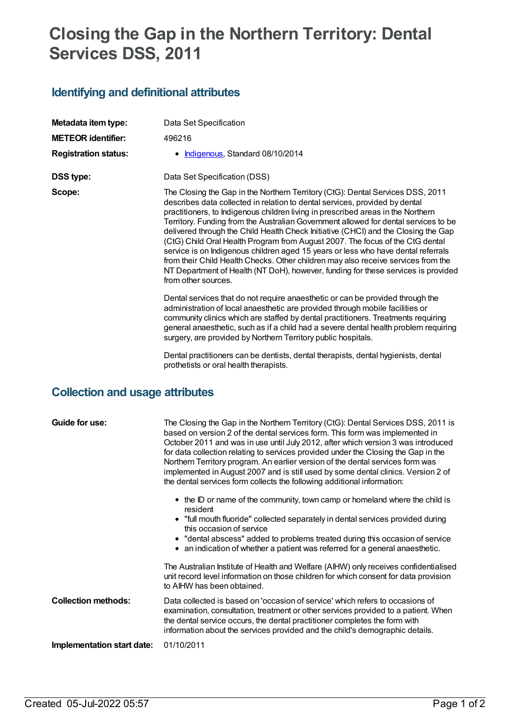# **Closing the Gap in the Northern Territory: Dental Services DSS, 2011**

### **Identifying and definitional attributes**

| Metadata item type:             | Data Set Specification                                                                                                                                                                                                                                                                                                                                                                                                                                                                                                                                                                                                                                                                                                                                                                                |  |  |  |
|---------------------------------|-------------------------------------------------------------------------------------------------------------------------------------------------------------------------------------------------------------------------------------------------------------------------------------------------------------------------------------------------------------------------------------------------------------------------------------------------------------------------------------------------------------------------------------------------------------------------------------------------------------------------------------------------------------------------------------------------------------------------------------------------------------------------------------------------------|--|--|--|
| <b>METEOR identifier:</b>       | 496216                                                                                                                                                                                                                                                                                                                                                                                                                                                                                                                                                                                                                                                                                                                                                                                                |  |  |  |
| <b>Registration status:</b>     | • Indigenous, Standard 08/10/2014                                                                                                                                                                                                                                                                                                                                                                                                                                                                                                                                                                                                                                                                                                                                                                     |  |  |  |
| <b>DSS type:</b>                | Data Set Specification (DSS)                                                                                                                                                                                                                                                                                                                                                                                                                                                                                                                                                                                                                                                                                                                                                                          |  |  |  |
| Scope:                          | The Closing the Gap in the Northern Territory (CtG): Dental Services DSS, 2011<br>describes data collected in relation to dental services, provided by dental<br>practitioners, to Indigenous children living in prescribed areas in the Northern<br>Territory. Funding from the Australian Government allowed for dental services to be<br>delivered through the Child Health Check Initiative (CHCI) and the Closing the Gap<br>(CtG) Child Oral Health Program from August 2007. The focus of the CtG dental<br>service is on Indigenous children aged 15 years or less who have dental referrals<br>from their Child Health Checks. Other children may also receive services from the<br>NT Department of Health (NT DoH), however, funding for these services is provided<br>from other sources. |  |  |  |
|                                 | Dental services that do not require anaesthetic or can be provided through the<br>administration of local anaesthetic are provided through mobile facilities or<br>community clinics which are staffed by dental practitioners. Treatments requiring<br>general anaesthetic, such as if a child had a severe dental health problem requiring<br>surgery, are provided by Northern Territory public hospitals.                                                                                                                                                                                                                                                                                                                                                                                         |  |  |  |
|                                 | Dental practitioners can be dentists, dental therapists, dental hygienists, dental<br>prothetists or oral health therapists.                                                                                                                                                                                                                                                                                                                                                                                                                                                                                                                                                                                                                                                                          |  |  |  |
| Collection and usage attributes |                                                                                                                                                                                                                                                                                                                                                                                                                                                                                                                                                                                                                                                                                                                                                                                                       |  |  |  |

#### **Collection and usage attributes**

| Guide for use:             | The Closing the Gap in the Northern Territory (CtG): Dental Services DSS, 2011 is<br>based on version 2 of the dental services form. This form was implemented in<br>October 2011 and was in use until July 2012, after which version 3 was introduced<br>for data collection relating to services provided under the Closing the Gap in the<br>Northern Territory program. An earlier version of the dental services form was<br>implemented in August 2007 and is still used by some dental clinics. Version 2 of<br>the dental services form collects the following additional information: |
|----------------------------|------------------------------------------------------------------------------------------------------------------------------------------------------------------------------------------------------------------------------------------------------------------------------------------------------------------------------------------------------------------------------------------------------------------------------------------------------------------------------------------------------------------------------------------------------------------------------------------------|
|                            | • the ID or name of the community, town camp or homeland where the child is<br>resident                                                                                                                                                                                                                                                                                                                                                                                                                                                                                                        |
|                            | • "full mouth fluoride" collected separately in dental services provided during<br>this occasion of service                                                                                                                                                                                                                                                                                                                                                                                                                                                                                    |
|                            | • "dental abscess" added to problems treated during this occasion of service<br>• an indication of whether a patient was referred for a general anaesthetic.                                                                                                                                                                                                                                                                                                                                                                                                                                   |
|                            | The Australian Institute of Health and Welfare (AIHW) only receives confidentialised<br>unit record level information on those children for which consent for data provision<br>to AIHW has been obtained.                                                                                                                                                                                                                                                                                                                                                                                     |
| <b>Collection methods:</b> | Data collected is based on 'occasion of service' which refers to occasions of<br>examination, consultation, treatment or other services provided to a patient. When<br>the dental service occurs, the dental practitioner completes the form with<br>information about the services provided and the child's demographic details.                                                                                                                                                                                                                                                              |
| Implementation start date: | 01/10/2011                                                                                                                                                                                                                                                                                                                                                                                                                                                                                                                                                                                     |